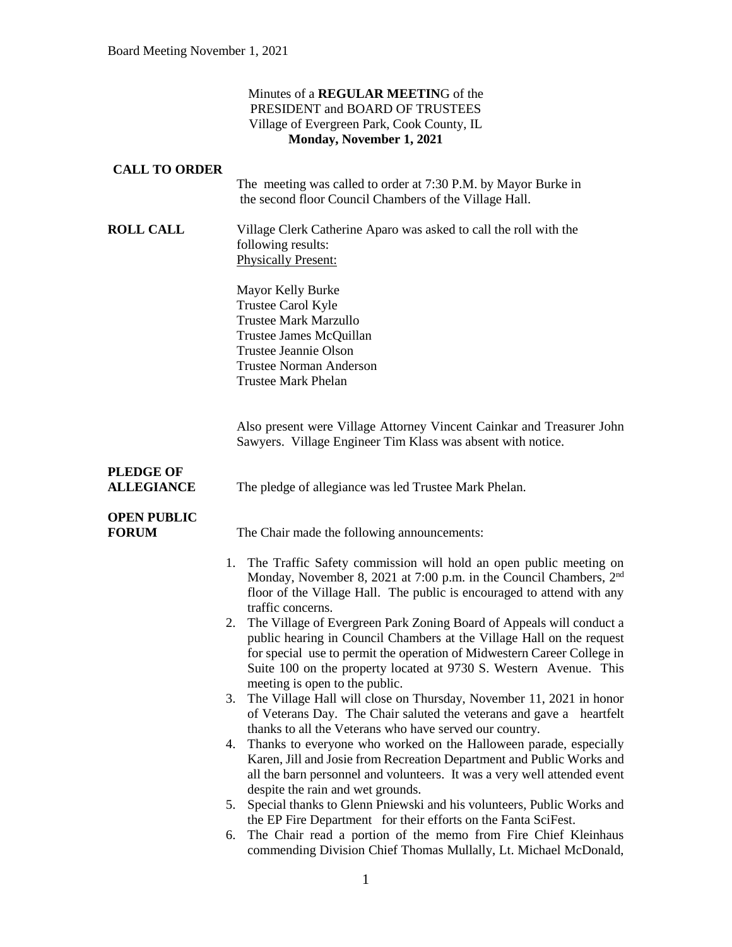### Minutes of a **REGULAR MEETIN**G of the PRESIDENT and BOARD OF TRUSTEES Village of Evergreen Park, Cook County, IL **Monday, November 1, 2021**

### **CALL TO ORDER**

The meeting was called to order at 7:30 P.M. by Mayor Burke in the second floor Council Chambers of the Village Hall.

**ROLL CALL** Village Clerk Catherine Aparo was asked to call the roll with the following results: Physically Present:

> Mayor Kelly Burke Trustee Carol Kyle Trustee Mark Marzullo Trustee James McQuillan Trustee Jeannie Olson Trustee Norman Anderson Trustee Mark Phelan

Also present were Village Attorney Vincent Cainkar and Treasurer John Sawyers. Village Engineer Tim Klass was absent with notice.

# **PLEDGE OF**

**ALLEGIANCE** The pledge of allegiance was led Trustee Mark Phelan.

### **OPEN PUBLIC**

**FORUM** The Chair made the following announcements:

- 1. The Traffic Safety commission will hold an open public meeting on Monday, November 8, 2021 at 7:00 p.m. in the Council Chambers, 2<sup>nd</sup> floor of the Village Hall. The public is encouraged to attend with any traffic concerns.
- 2. The Village of Evergreen Park Zoning Board of Appeals will conduct a public hearing in Council Chambers at the Village Hall on the request for special use to permit the operation of Midwestern Career College in Suite 100 on the property located at 9730 S. Western Avenue. This meeting is open to the public.
- 3. The Village Hall will close on Thursday, November 11, 2021 in honor of Veterans Day. The Chair saluted the veterans and gave a heartfelt thanks to all the Veterans who have served our country.
- 4. Thanks to everyone who worked on the Halloween parade, especially Karen, Jill and Josie from Recreation Department and Public Works and all the barn personnel and volunteers. It was a very well attended event despite the rain and wet grounds.
- 5. Special thanks to Glenn Pniewski and his volunteers, Public Works and the EP Fire Department for their efforts on the Fanta SciFest.
- 6. The Chair read a portion of the memo from Fire Chief Kleinhaus commending Division Chief Thomas Mullally, Lt. Michael McDonald,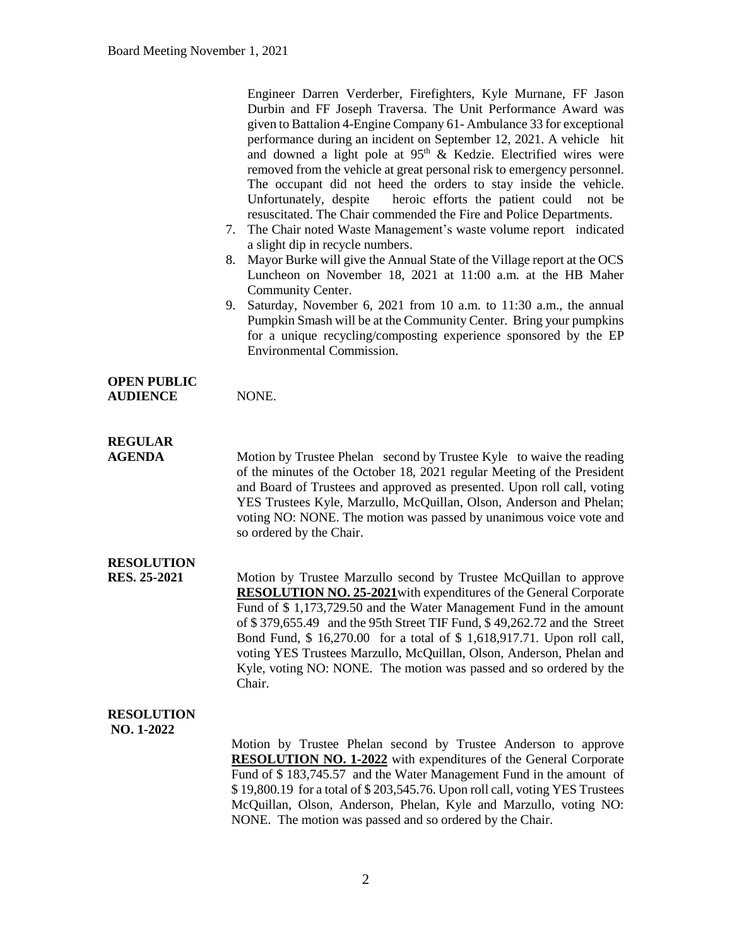|                                          | Engineer Darren Verderber, Firefighters, Kyle Murnane, FF Jason<br>Durbin and FF Joseph Traversa. The Unit Performance Award was<br>given to Battalion 4-Engine Company 61-Ambulance 33 for exceptional<br>performance during an incident on September 12, 2021. A vehicle hit<br>and downed a light pole at 95 <sup>th</sup> & Kedzie. Electrified wires were<br>removed from the vehicle at great personal risk to emergency personnel.<br>The occupant did not heed the orders to stay inside the vehicle.<br>heroic efforts the patient could not be<br>Unfortunately, despite<br>resuscitated. The Chair commended the Fire and Police Departments.<br>7. The Chair noted Waste Management's waste volume report indicated<br>a slight dip in recycle numbers.<br>Mayor Burke will give the Annual State of the Village report at the OCS<br>8.<br>Luncheon on November 18, 2021 at 11:00 a.m. at the HB Maher<br>Community Center.<br>9. Saturday, November 6, 2021 from 10 a.m. to 11:30 a.m., the annual<br>Pumpkin Smash will be at the Community Center. Bring your pumpkins<br>for a unique recycling/composting experience sponsored by the EP<br><b>Environmental Commission.</b> |
|------------------------------------------|------------------------------------------------------------------------------------------------------------------------------------------------------------------------------------------------------------------------------------------------------------------------------------------------------------------------------------------------------------------------------------------------------------------------------------------------------------------------------------------------------------------------------------------------------------------------------------------------------------------------------------------------------------------------------------------------------------------------------------------------------------------------------------------------------------------------------------------------------------------------------------------------------------------------------------------------------------------------------------------------------------------------------------------------------------------------------------------------------------------------------------------------------------------------------------------------|
| <b>OPEN PUBLIC</b><br><b>AUDIENCE</b>    | NONE.                                                                                                                                                                                                                                                                                                                                                                                                                                                                                                                                                                                                                                                                                                                                                                                                                                                                                                                                                                                                                                                                                                                                                                                          |
| <b>REGULAR</b><br><b>AGENDA</b>          | Motion by Trustee Phelan second by Trustee Kyle to waive the reading<br>of the minutes of the October 18, 2021 regular Meeting of the President<br>and Board of Trustees and approved as presented. Upon roll call, voting<br>YES Trustees Kyle, Marzullo, McQuillan, Olson, Anderson and Phelan;<br>voting NO: NONE. The motion was passed by unanimous voice vote and<br>so ordered by the Chair.                                                                                                                                                                                                                                                                                                                                                                                                                                                                                                                                                                                                                                                                                                                                                                                            |
| <b>RESOLUTION</b><br><b>RES. 25-2021</b> | Motion by Trustee Marzullo second by Trustee McQuillan to approve<br><b>RESOLUTION NO. 25-2021</b> with expenditures of the General Corporate<br>Fund of \$1,173,729.50 and the Water Management Fund in the amount<br>of \$379,655.49 and the 95th Street TIF Fund, \$49,262.72 and the Street<br>Bond Fund, \$16,270.00 for a total of \$1,618,917.71. Upon roll call,<br>voting YES Trustees Marzullo, McQuillan, Olson, Anderson, Phelan and<br>Kyle, voting NO: NONE. The motion was passed and so ordered by the<br>Chair.                                                                                                                                                                                                                                                                                                                                                                                                                                                                                                                                                                                                                                                               |
| <b>RESOLUTION</b><br>NO. 1-2022          | Motion by Trustee Phelan second by Trustee Anderson to approve<br><b>RESOLUTION NO. 1-2022</b> with expenditures of the General Corporate<br>Fund of \$183,745.57 and the Water Management Fund in the amount of<br>\$19,800.19 for a total of \$203,545.76. Upon roll call, voting YES Trustees<br>McQuillan, Olson, Anderson, Phelan, Kyle and Marzullo, voting NO:<br>NONE. The motion was passed and so ordered by the Chair.                                                                                                                                                                                                                                                                                                                                                                                                                                                                                                                                                                                                                                                                                                                                                              |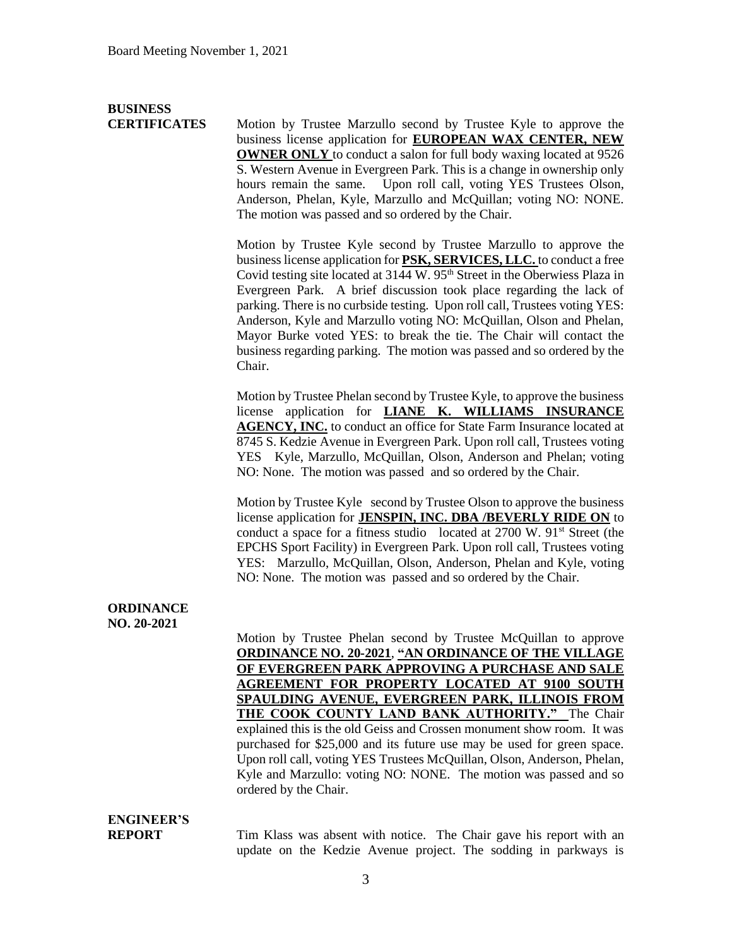# **BUSINESS**

**CERTIFICATES** Motion by Trustee Marzullo second by Trustee Kyle to approve the business license application for **EUROPEAN WAX CENTER, NEW OWNER ONLY** to conduct a salon for full body waxing located at 9526 S. Western Avenue in Evergreen Park. This is a change in ownership only hours remain the same. Upon roll call, voting YES Trustees Olson, Anderson, Phelan, Kyle, Marzullo and McQuillan; voting NO: NONE. The motion was passed and so ordered by the Chair.

> Motion by Trustee Kyle second by Trustee Marzullo to approve the business license application for **PSK, SERVICES, LLC.** to conduct a free Covid testing site located at 3144 W. 95<sup>th</sup> Street in the Oberwiess Plaza in Evergreen Park. A brief discussion took place regarding the lack of parking. There is no curbside testing. Upon roll call, Trustees voting YES: Anderson, Kyle and Marzullo voting NO: McQuillan, Olson and Phelan, Mayor Burke voted YES: to break the tie. The Chair will contact the business regarding parking. The motion was passed and so ordered by the Chair.

> Motion by Trustee Phelan second by Trustee Kyle, to approve the business license application for **LIANE K. WILLIAMS INSURANCE AGENCY, INC.** to conduct an office for State Farm Insurance located at 8745 S. Kedzie Avenue in Evergreen Park. Upon roll call, Trustees voting YES Kyle, Marzullo, McQuillan, Olson, Anderson and Phelan; voting NO: None. The motion was passed and so ordered by the Chair.

> Motion by Trustee Kyle second by Trustee Olson to approve the business license application for **JENSPIN, INC. DBA /BEVERLY RIDE ON** to conduct a space for a fitness studio located at  $2700 \text{ W}$ .  $91^{\text{st}}$  Street (the EPCHS Sport Facility) in Evergreen Park. Upon roll call, Trustees voting YES: Marzullo, McQuillan, Olson, Anderson, Phelan and Kyle, voting NO: None. The motion was passed and so ordered by the Chair.

#### **ORDINANCE NO. 20-2021**

Motion by Trustee Phelan second by Trustee McQuillan to approve **ORDINANCE NO. 20-2021**, **"AN ORDINANCE OF THE VILLAGE OF EVERGREEN PARK APPROVING A PURCHASE AND SALE AGREEMENT FOR PROPERTY LOCATED AT 9100 SOUTH SPAULDING AVENUE, EVERGREEN PARK, ILLINOIS FROM THE COOK COUNTY LAND BANK AUTHORITY."** The Chair explained this is the old Geiss and Crossen monument show room. It was purchased for \$25,000 and its future use may be used for green space. Upon roll call, voting YES Trustees McQuillan, Olson, Anderson, Phelan, Kyle and Marzullo: voting NO: NONE. The motion was passed and so ordered by the Chair.

# **ENGINEER'S**

**REPORT** Tim Klass was absent with notice. The Chair gave his report with an update on the Kedzie Avenue project. The sodding in parkways is